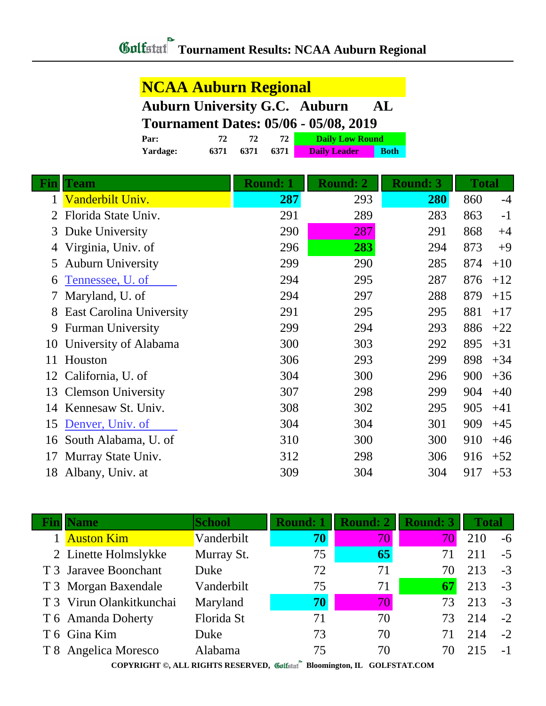## **NCAA Auburn Regional**

|      |     |           |             | <b>Auburn University G.C. Auburn</b>         | AL |
|------|-----|-----------|-------------|----------------------------------------------|----|
|      |     |           |             | <b>Tournament Dates: 05/06 - 05/08, 2019</b> |    |
| Par: | 72. | <b>72</b> | <b>72 L</b> | Daily Low Round                              |    |

**Yardage: 6371 6371 6371 Daily Leader Both**

|    | Team                            | <b>Round: 1</b> | <b>Round: 2</b> | <b>Round: 3</b> | <b>Total</b> |       |
|----|---------------------------------|-----------------|-----------------|-----------------|--------------|-------|
|    | Vanderbilt Univ.                | 287             | 293             | 280             | 860          | $-4$  |
|    | Florida State Univ.             | 291             | 289             | 283             | 863          | $-1$  |
| 3  | Duke University                 | 290             | 287             | 291             | 868          | $+4$  |
|    | Virginia, Univ. of              | 296             | 283             | 294             | 873          | $+9$  |
| 5  | <b>Auburn University</b>        | 299             | 290             | 285             | 874          | $+10$ |
| 6  | Tennessee, U. of                | 294             | 295             | 287             | 876          | $+12$ |
|    | Maryland, U. of                 | 294             | 297             | 288             | 879          | $+15$ |
| 8  | <b>East Carolina University</b> | 291             | 295             | 295             | 881          | $+17$ |
| 9  | <b>Furman University</b>        | 299             | 294             | 293             | 886          | $+22$ |
| 10 | University of Alabama           | 300             | 303             | 292             | 895          | $+31$ |
| 11 | Houston                         | 306             | 293             | 299             | 898          | $+34$ |
| 12 | California, U. of               | 304             | 300             | 296             | 900          | $+36$ |
| 13 | <b>Clemson University</b>       | 307             | 298             | 299             | 904          | $+40$ |
| 14 | Kennesaw St. Univ.              | 308             | 302             | 295             | 905          | $+41$ |
| 15 | Denver, Univ. of                | 304             | 304             | 301             | 909          | $+45$ |
| 16 | South Alabama, U. of            | 310             | 300             | 300             | 910          | $+46$ |
| 17 | Murray State Univ.              | 312             | 298             | 306             | 916          | $+52$ |
| 18 | Albany, Univ. at                | 309             | 304             | 304             | 917          | $+53$ |

| <b>IName</b>             | <b>School</b> | <b>Round: 1</b> | <b>Round: 2</b> | <b>Round: 3</b> | <b>Total</b> |      |
|--------------------------|---------------|-----------------|-----------------|-----------------|--------------|------|
| 1 Auston Kim             | Vanderbilt    | 70              | 70 <sup>°</sup> | 70              | 210          | $-6$ |
| 2 Linette Holmslykke     | Murray St.    | 75              | 65              | 71              | 211          | $-5$ |
| T 3 Jaravee Boonchant    | Duke          | 72              | 71              | 70              | 213          | $-3$ |
| T 3 Morgan Baxendale     | Vanderbilt    | 75              | 71              | 67              | 213          | $-3$ |
| T 3 Virun Olankitkunchai | Maryland      | 70              | 70              | 73              | 213          | $-3$ |
| T 6 Amanda Doherty       | Florida St    | 71              | 70              | 73              | 214          | $-2$ |
| T 6 Gina Kim             | Duke          | 73              | 70              | 71              | 214          | $-2$ |
| T 8 Angelica Moresco     | Alabama       | 75              | 70              | 70              | 215          | $-1$ |
|                          |               |                 |                 |                 |              |      |

**COPYRIGHT ©, ALL RIGHTS RESERVED, Bloomington, IL GOLFSTAT.COM**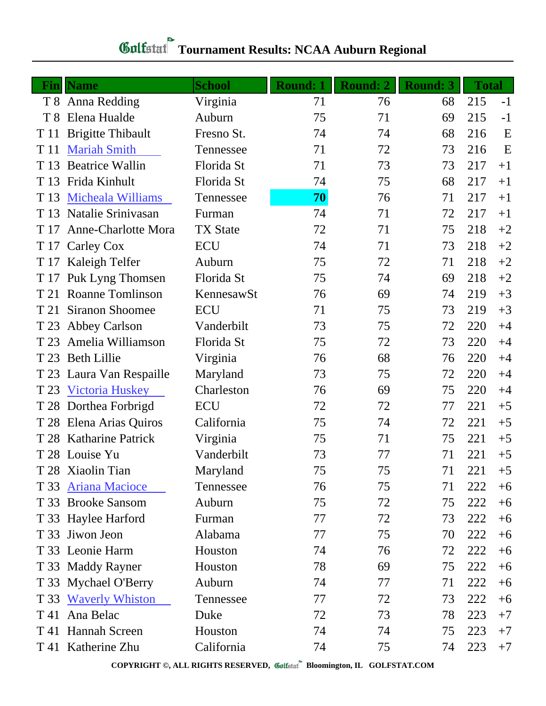| Fin  | <b>Name</b>              | <b>School</b>   | <b>Round: 1</b> | <b>Round: 2</b> | <b>Round: 3</b> | <b>Total</b> |      |
|------|--------------------------|-----------------|-----------------|-----------------|-----------------|--------------|------|
|      | T 8 Anna Redding         | Virginia        | 71              | 76              | 68              | 215          | $-1$ |
| T 8  | Elena Hualde             | Auburn          | 75              | 71              | 69              | 215          | $-1$ |
| T 11 | <b>Brigitte Thibault</b> | Fresno St.      | 74              | 74              | 68              | 216          | E    |
| T 11 | <b>Mariah Smith</b>      | Tennessee       | 71              | 72              | 73              | 216          | E    |
| T 13 | <b>Beatrice Wallin</b>   | Florida St      | 71              | 73              | 73              | 217          | $+1$ |
| T 13 | Frida Kinhult            | Florida St      | 74              | 75              | 68              | 217          | $+1$ |
| T 13 | <b>Micheala Williams</b> | Tennessee       | 70              | 76              | 71              | 217          | $+1$ |
| T 13 | Natalie Srinivasan       | Furman          | 74              | 71              | 72              | 217          | $+1$ |
| T 17 | Anne-Charlotte Mora      | <b>TX State</b> | 72              | 71              | 75              | 218          | $+2$ |
| T 17 | Carley Cox               | <b>ECU</b>      | 74              | 71              | 73              | 218          | $+2$ |
| T 17 | Kaleigh Telfer           | Auburn          | 75              | 72              | 71              | 218          | $+2$ |
| T 17 | Puk Lyng Thomsen         | Florida St      | 75              | 74              | 69              | 218          | $+2$ |
| T 21 | Roanne Tomlinson         | KennesawSt      | 76              | 69              | 74              | 219          | $+3$ |
| T 21 | <b>Siranon Shoomee</b>   | <b>ECU</b>      | 71              | 75              | 73              | 219          | $+3$ |
| T 23 | Abbey Carlson            | Vanderbilt      | 73              | 75              | 72              | 220          | $+4$ |
| T 23 | Amelia Williamson        | Florida St      | 75              | 72              | 73              | 220          | $+4$ |
| T 23 | <b>Beth Lillie</b>       | Virginia        | 76              | 68              | 76              | 220          | $+4$ |
|      | T 23 Laura Van Respaille | Maryland        | 73              | 75              | 72              | 220          | $+4$ |
| T 23 | <b>Victoria Huskey</b>   | Charleston      | 76              | 69              | 75              | 220          | $+4$ |
|      | T 28 Dorthea Forbrigd    | <b>ECU</b>      | 72              | 72              | 77              | 221          | $+5$ |
| T 28 | Elena Arias Quiros       | California      | 75              | 74              | 72              | 221          | $+5$ |
|      | T 28 Katharine Patrick   | Virginia        | 75              | 71              | 75              | 221          | $+5$ |
|      | T 28 Louise Yu           | Vanderbilt      | 73              | 77              | 71              | 221          | $+5$ |
|      | T 28 Xiaolin Tian        | Maryland        | 75              | 75              | 71              | 221          | $+5$ |
| T 33 | <b>Ariana Macioce</b>    | Tennessee       | 76              | 75              | 71              | 222          | $+6$ |
| T 33 | <b>Brooke Sansom</b>     | Auburn          | 75              | 72              | 75              | 222          | $+6$ |
|      | T 33 Haylee Harford      | Furman          | 77              | 72              | 73              | 222          | $+6$ |
|      | T 33 Jiwon Jeon          | Alabama         | 77              | 75              | 70              | 222          | $+6$ |
|      | T 33 Leonie Harm         | Houston         | 74              | 76              | 72              | 222          | $+6$ |
|      | T 33 Maddy Rayner        | Houston         | 78              | 69              | 75              | 222          | $+6$ |
|      | T 33 Mychael O'Berry     | Auburn          | 74              | 77              | 71              | 222          | $+6$ |
| T 33 | <b>Waverly Whiston</b>   | Tennessee       | 77              | 72              | 73              | 222          | $+6$ |
| T 41 | Ana Belac                | Duke            | 72              | 73              | 78              | 223          | $+7$ |
| T 41 | <b>Hannah Screen</b>     | Houston         | 74              | 74              | 75              | 223          | $+7$ |
|      | T 41 Katherine Zhu       | California      | 74              | 75              | 74              | 223          | $+7$ |

## **Tournament Results: NCAA Auburn Regional**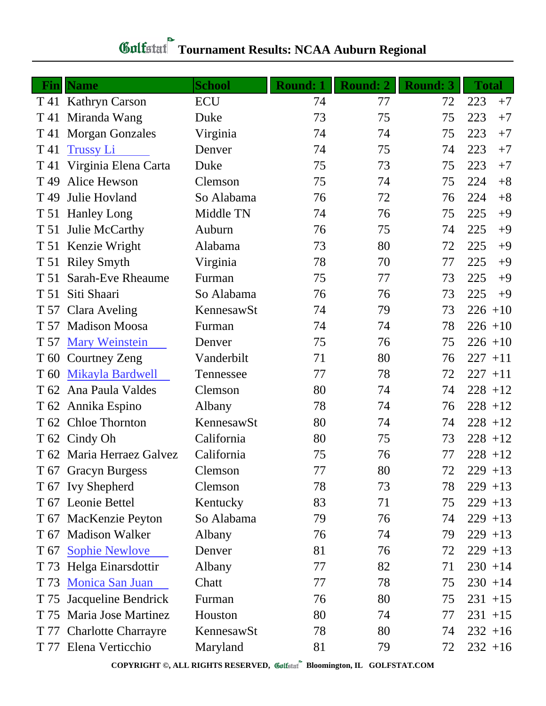| Fin             | <b>Name</b>               | <b>School</b> | Round: 1 | <b>Round: 2</b> | <b>Round: 3</b> | <b>Total</b> |      |
|-----------------|---------------------------|---------------|----------|-----------------|-----------------|--------------|------|
|                 | T 41 Kathryn Carson       | <b>ECU</b>    | 74       | 77              | 72              | 223          | $+7$ |
| T 41            | Miranda Wang              | Duke          | 73       | 75              | 75              | 223          | $+7$ |
| T 41            | <b>Morgan Gonzales</b>    | Virginia      | 74       | 74              | 75              | 223          | $+7$ |
| T 41            | <b>Trussy Li</b>          | Denver        | 74       | 75              | 74              | 223          | $+7$ |
| T 41            | Virginia Elena Carta      | Duke          | 75       | 73              | 75              | 223          | $+7$ |
| T 49            | Alice Hewson              | Clemson       | 75       | 74              | 75              | 224          | $+8$ |
| T <sub>49</sub> | Julie Hovland             | So Alabama    | 76       | 72              | 76              | 224          | $+8$ |
|                 | T 51 Hanley Long          | Middle TN     | 74       | 76              | 75              | 225          | $+9$ |
| T 51            | Julie McCarthy            | Auburn        | 76       | 75              | 74              | 225          | $+9$ |
|                 | T 51 Kenzie Wright        | Alabama       | 73       | 80              | 72              | 225          | $+9$ |
| T 51            | <b>Riley Smyth</b>        | Virginia      | 78       | 70              | 77              | 225          | $+9$ |
| T 51            | Sarah-Eve Rheaume         | Furman        | 75       | 77              | 73              | 225          | $+9$ |
| T 51            | Siti Shaari               | So Alabama    | 76       | 76              | 73              | 225          | $+9$ |
|                 | T 57 Clara Aveling        | KennesawSt    | 74       | 79              | 73              | $226 + 10$   |      |
|                 | T 57 Madison Moosa        | Furman        | 74       | 74              | 78              | $226 + 10$   |      |
|                 | T 57 Mary Weinstein       | Denver        | 75       | 76              | 75              | $226 + 10$   |      |
|                 | T 60 Courtney Zeng        | Vanderbilt    | 71       | 80              | 76              | $227 + 11$   |      |
| T 60            | <b>Mikayla Bardwell</b>   | Tennessee     | 77       | 78              | 72              | $227 + 11$   |      |
| T 62            | Ana Paula Valdes          | Clemson       | 80       | 74              | 74              | $228 + 12$   |      |
|                 | T 62 Annika Espino        | Albany        | 78       | 74              | 76              | $228 + 12$   |      |
| T 62            | <b>Chloe Thornton</b>     | KennesawSt    | 80       | 74              | 74              | $228 + 12$   |      |
|                 | T 62 Cindy Oh             | California    | 80       | 75              | 73              | $228 + 12$   |      |
|                 | T 62 Maria Herraez Galvez | California    | 75       | 76              | 77              | $228 + 12$   |      |
|                 | T 67 Gracyn Burgess       | Clemson       | 77       | 80              | 72              | $229 + 13$   |      |
|                 | T 67 Ivy Shepherd         | Clemson       | 78       | 73              | 78              | $229 + 13$   |      |
|                 | T 67 Leonie Bettel        | Kentucky      | 83       | 71              | 75              | $229 + 13$   |      |
|                 | T 67 MacKenzie Peyton     | So Alabama    | 79       | 76              | 74              | $229 + 13$   |      |
|                 | T 67 Madison Walker       | Albany        | 76       | 74              | 79              | $229 + 13$   |      |
|                 | T 67 Sophie Newlove       | Denver        | 81       | 76              | 72              | $229 + 13$   |      |
|                 | T 73 Helga Einarsdottir   | Albany        | 77       | 82              | 71              | $230 + 14$   |      |
|                 | T 73 Monica San Juan      | Chatt         | 77       | 78              | 75              | $230 + 14$   |      |
|                 | T 75 Jacqueline Bendrick  | Furman        | 76       | 80              | 75              | $231 + 15$   |      |
|                 | T 75 Maria Jose Martinez  | Houston       | 80       | 74              | 77              | $231 + 15$   |      |
|                 | T 77 Charlotte Charrayre  | KennesawSt    | 78       | 80              | 74              | $232 + 16$   |      |
|                 | T 77 Elena Verticchio     | Maryland      | 81       | 79              | 72              | $232 + 16$   |      |

## **Tournament Results: NCAA Auburn Regional**

**COPYRIGHT ©, ALL RIGHTS RESERVED, Bloomington, IL GOLFSTAT.COM**